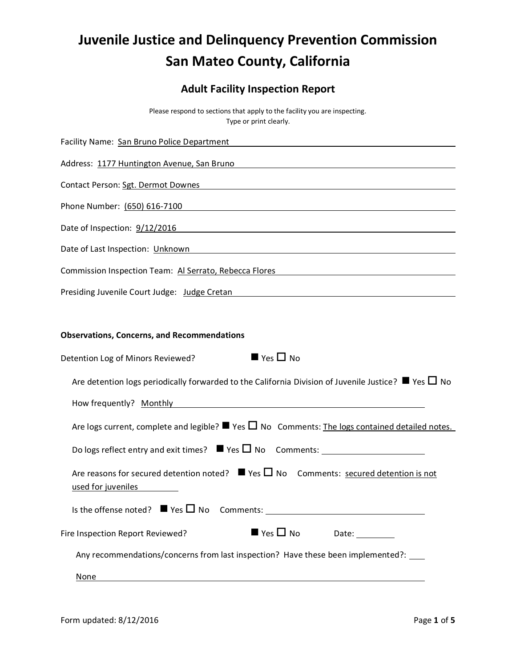# **Juvenile Justice and Delinquency Prevention Commission San Mateo County, California**

# **Adult Facility Inspection Report**

Please respond to sections that apply to the facility you are inspecting. Type or print clearly.

| Facility Name: San Bruno Police Department Manual According Control of Table 1999                                                 |
|-----------------------------------------------------------------------------------------------------------------------------------|
| Address: 1177 Huntington Avenue, San Bruno and Contract and Contract and Contract and Contract and Contract and                   |
| Contact Person: Sgt. Dermot Downes and Contact Person of the Contact Person in the Contact Person: Sgt. Dermot Downes             |
| Phone Number: (650) 616-7100                                                                                                      |
|                                                                                                                                   |
| Date of Last Inspection: Unknown Management Control of Last Inspection of Last Inspection: 0.1                                    |
| Commission Inspection Team: Al Serrato, Rebecca Flores <b>Commission Instantial Activity</b>                                      |
| Presiding Juvenile Court Judge: Judge Cretan Management Court and Management Court                                                |
|                                                                                                                                   |
| <b>Observations, Concerns, and Recommendations</b>                                                                                |
| $\blacksquare$ Yes $\square$ No<br>Detention Log of Minors Reviewed?                                                              |
| Are detention logs periodically forwarded to the California Division of Juvenile Justice? $\blacksquare$ Yes $\square$ No         |
|                                                                                                                                   |
| Are logs current, complete and legible? $\blacksquare$ Yes $\square$ No Comments: The logs contained detailed notes.              |
|                                                                                                                                   |
| Are reasons for secured detention noted? $\blacksquare$ Yes $\square$ No Comments: secured detention is not<br>used for juveniles |
| Is the offense noted? $\blacksquare$ Yes $\square$ No Comments:                                                                   |
| $\blacksquare$ Yes $\square$ No<br>Fire Inspection Report Reviewed?<br>Date:                                                      |
| Any recommendations/concerns from last inspection? Have these been implemented?: ____                                             |
| <b>None</b>                                                                                                                       |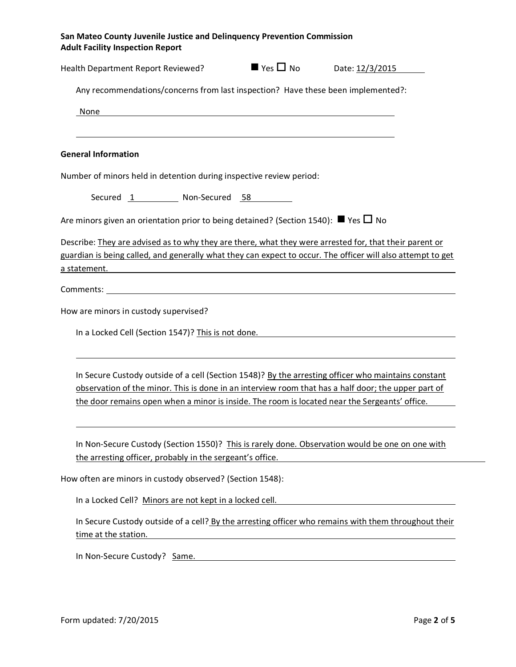| San Mateo County Juvenile Justice and Delinquency Prevention Commission<br><b>Adult Facility Inspection Report</b>                                                                                                                                                                                                                                                                                                                                      |  |
|---------------------------------------------------------------------------------------------------------------------------------------------------------------------------------------------------------------------------------------------------------------------------------------------------------------------------------------------------------------------------------------------------------------------------------------------------------|--|
| Health Department Report Reviewed? ■ Yes □ No Date: 12/3/2015                                                                                                                                                                                                                                                                                                                                                                                           |  |
| Any recommendations/concerns from last inspection? Have these been implemented?:                                                                                                                                                                                                                                                                                                                                                                        |  |
| None                                                                                                                                                                                                                                                                                                                                                                                                                                                    |  |
|                                                                                                                                                                                                                                                                                                                                                                                                                                                         |  |
| <b>General Information</b>                                                                                                                                                                                                                                                                                                                                                                                                                              |  |
| Number of minors held in detention during inspective review period:                                                                                                                                                                                                                                                                                                                                                                                     |  |
| Secured 1 Non-Secured 58                                                                                                                                                                                                                                                                                                                                                                                                                                |  |
| Are minors given an orientation prior to being detained? (Section 1540): $\blacksquare$ Yes $\square$ No                                                                                                                                                                                                                                                                                                                                                |  |
| Describe: They are advised as to why they are there, what they were arrested for, that their parent or<br>guardian is being called, and generally what they can expect to occur. The officer will also attempt to get<br>a statement. The contract of the contract of the contract of the contract of the contract of the contract of the contract of the contract of the contract of the contract of the contract of the contract of the contract of t |  |
|                                                                                                                                                                                                                                                                                                                                                                                                                                                         |  |
| How are minors in custody supervised?                                                                                                                                                                                                                                                                                                                                                                                                                   |  |
|                                                                                                                                                                                                                                                                                                                                                                                                                                                         |  |
| In a Locked Cell (Section 1547)? This is not done. The second section of the second section of the second section of the second section of the second section of the second section of the second section of the second sectio                                                                                                                                                                                                                          |  |
| In Secure Custody outside of a cell (Section 1548)? By the arresting officer who maintains constant<br>observation of the minor. This is done in an interview room that has a half door; the upper part of<br>the door remains open when a minor is inside. The room is located near the Sergeants' office.                                                                                                                                             |  |
| In Non-Secure Custody (Section 1550)? This is rarely done. Observation would be one on one with<br>the arresting officer, probably in the sergeant's office.                                                                                                                                                                                                                                                                                            |  |
| How often are minors in custody observed? (Section 1548):                                                                                                                                                                                                                                                                                                                                                                                               |  |
| In a Locked Cell? Minors are not kept in a locked cell.                                                                                                                                                                                                                                                                                                                                                                                                 |  |
| In Secure Custody outside of a cell? By the arresting officer who remains with them throughout their<br>time at the station.                                                                                                                                                                                                                                                                                                                            |  |
| In Non-Secure Custody? Same.                                                                                                                                                                                                                                                                                                                                                                                                                            |  |
|                                                                                                                                                                                                                                                                                                                                                                                                                                                         |  |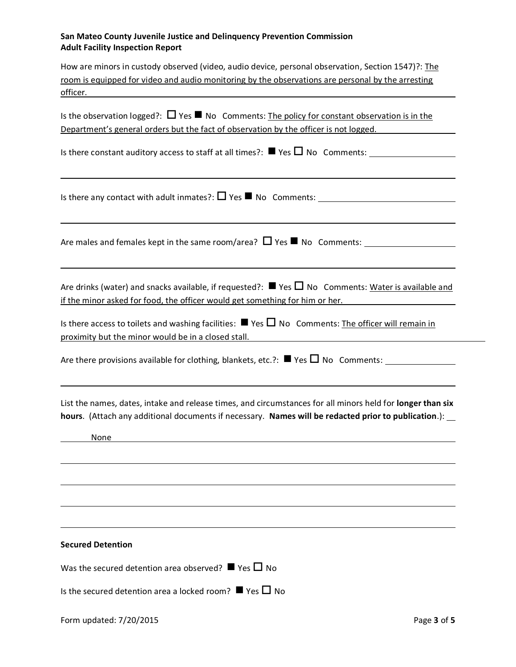### **San Mateo County Juvenile Justice and Delinquency Prevention Commission Adult Facility Inspection Report**

| How are minors in custody observed (video, audio device, personal observation, Section 1547)?: The |
|----------------------------------------------------------------------------------------------------|
| room is equipped for video and audio monitoring by the observations are personal by the arresting  |
| officer.                                                                                           |

| Is the observation logged?: $\Box$ Yes $\blacksquare$ No Comments: The policy for constant observation is in the |  |  |  |
|------------------------------------------------------------------------------------------------------------------|--|--|--|
| Department's general orders but the fact of observation by the officer is not logged.                            |  |  |  |

Is there constant auditory access to staff at all times?:  $\blacksquare$  Yes  $\square$  No Comments:

Is there any contact with adult inmates?: Yes No Comments:

Are males and females kept in the same room/area?  $\Box$  Yes  $\blacksquare$  No Comments:

Are drinks (water) and snacks available, if requested?:  $\blacksquare$  Yes  $\square$  No Comments: Water is available and if the minor asked for food, the officer would get something for him or her.

Is there access to toilets and washing facilities:  $\blacksquare$  Yes  $\square$  No Comments: The officer will remain in proximity but the minor would be in a closed stall.

Are there provisions available for clothing, blankets, etc.?:  $\blacksquare$  Yes  $\Box$  No Comments:

List the names, dates, intake and release times, and circumstances for all minors held for **longer than six hours**. (Attach any additional documents if necessary. **Names will be redacted prior to publication**.):

**None None None** 

**Secured Detention**

Was the secured detention area observed?  $\blacksquare$  Yes  $\square$  No

Is the secured detention area a locked room?  $\blacksquare$  Yes  $\Box$  No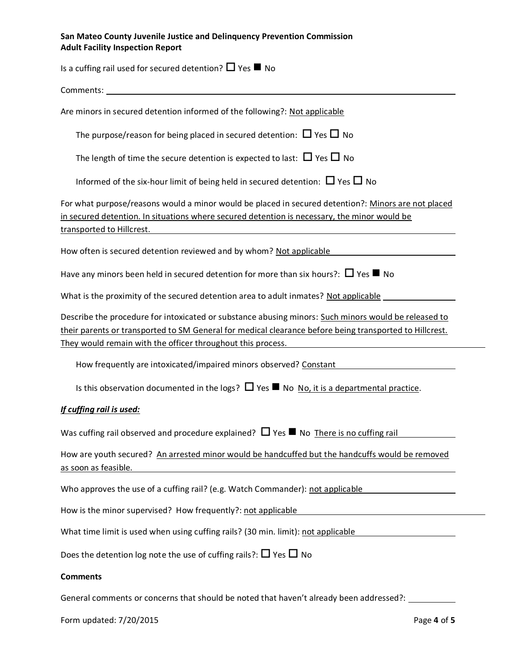# **San Mateo County Juvenile Justice and Delinquency Prevention Commission Adult Facility Inspection Report**

| Is a cuffing rail used for secured detention? $\Box$ Yes $\blacksquare$ No                                                                                                                                                                                                     |
|--------------------------------------------------------------------------------------------------------------------------------------------------------------------------------------------------------------------------------------------------------------------------------|
| Comments:                                                                                                                                                                                                                                                                      |
| Are minors in secured detention informed of the following?: Not applicable                                                                                                                                                                                                     |
| The purpose/reason for being placed in secured detention: $\Box$ Yes $\Box$ No                                                                                                                                                                                                 |
| The length of time the secure detention is expected to last: $\Box$ Yes $\Box$ No                                                                                                                                                                                              |
| Informed of the six-hour limit of being held in secured detention: $\Box$ Yes $\Box$ No                                                                                                                                                                                        |
| For what purpose/reasons would a minor would be placed in secured detention?: Minors are not placed<br>in secured detention. In situations where secured detention is necessary, the minor would be<br>transported to Hillcrest.                                               |
| How often is secured detention reviewed and by whom? Not applicable                                                                                                                                                                                                            |
| Have any minors been held in secured detention for more than six hours?: $\Box$ Yes $\blacksquare$ No                                                                                                                                                                          |
| What is the proximity of the secured detention area to adult inmates? Not applicable                                                                                                                                                                                           |
| Describe the procedure for intoxicated or substance abusing minors: Such minors would be released to<br>their parents or transported to SM General for medical clearance before being transported to Hillcrest.<br>They would remain with the officer throughout this process. |
| How frequently are intoxicated/impaired minors observed? Constant                                                                                                                                                                                                              |
| Is this observation documented in the logs? $\Box$ Yes $\blacksquare$ No No, it is a departmental practice.                                                                                                                                                                    |
| If cuffing rail is used:                                                                                                                                                                                                                                                       |
| Was cuffing rail observed and procedure explained? $\Box$ Yes $\blacksquare$ No There is no cuffing rail                                                                                                                                                                       |
| How are youth secured? An arrested minor would be handcuffed but the handcuffs would be removed<br>as soon as feasible.                                                                                                                                                        |
| Who approves the use of a cuffing rail? (e.g. Watch Commander): not applicable                                                                                                                                                                                                 |
| How is the minor supervised? How frequently?: not applicable                                                                                                                                                                                                                   |
| What time limit is used when using cuffing rails? (30 min. limit): not applicable                                                                                                                                                                                              |
| Does the detention log note the use of cuffing rails?: $\Box$ Yes $\Box$ No                                                                                                                                                                                                    |
| <b>Comments</b>                                                                                                                                                                                                                                                                |

General comments or concerns that should be noted that haven't already been addressed?: \_\_\_\_\_\_\_\_\_\_\_

Form updated: 7/20/2015 Page **4** of **5**